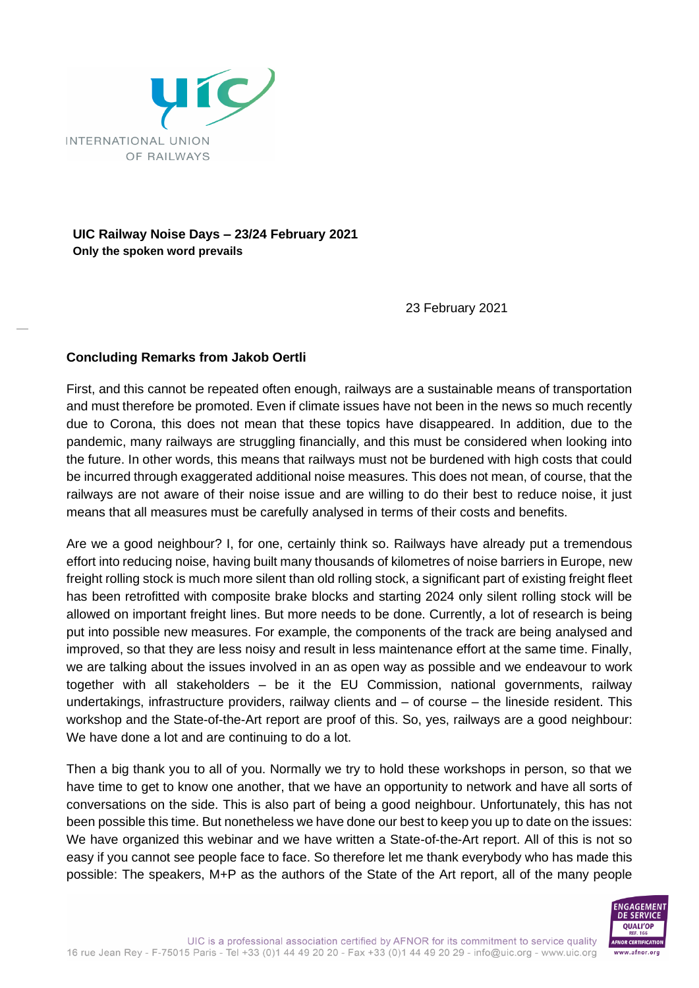

**UIC Railway Noise Days – 23/24 February 2021 Only the spoken word prevails**

23 February 2021

## **Concluding Remarks from Jakob Oertli**

First, and this cannot be repeated often enough, railways are a sustainable means of transportation and must therefore be promoted. Even if climate issues have not been in the news so much recently due to Corona, this does not mean that these topics have disappeared. In addition, due to the pandemic, many railways are struggling financially, and this must be considered when looking into the future. In other words, this means that railways must not be burdened with high costs that could be incurred through exaggerated additional noise measures. This does not mean, of course, that the railways are not aware of their noise issue and are willing to do their best to reduce noise, it just means that all measures must be carefully analysed in terms of their costs and benefits.

Are we a good neighbour? I, for one, certainly think so. Railways have already put a tremendous effort into reducing noise, having built many thousands of kilometres of noise barriers in Europe, new freight rolling stock is much more silent than old rolling stock, a significant part of existing freight fleet has been retrofitted with composite brake blocks and starting 2024 only silent rolling stock will be allowed on important freight lines. But more needs to be done. Currently, a lot of research is being put into possible new measures. For example, the components of the track are being analysed and improved, so that they are less noisy and result in less maintenance effort at the same time. Finally, we are talking about the issues involved in an as open way as possible and we endeavour to work together with all stakeholders – be it the EU Commission, national governments, railway undertakings, infrastructure providers, railway clients and – of course – the lineside resident. This workshop and the State-of-the-Art report are proof of this. So, yes, railways are a good neighbour: We have done a lot and are continuing to do a lot.

Then a big thank you to all of you. Normally we try to hold these workshops in person, so that we have time to get to know one another, that we have an opportunity to network and have all sorts of conversations on the side. This is also part of being a good neighbour. Unfortunately, this has not been possible this time. But nonetheless we have done our best to keep you up to date on the issues: We have organized this webinar and we have written a State-of-the-Art report. All of this is not so easy if you cannot see people face to face. So therefore let me thank everybody who has made this possible: The speakers, M+P as the authors of the State of the Art report, all of the many people